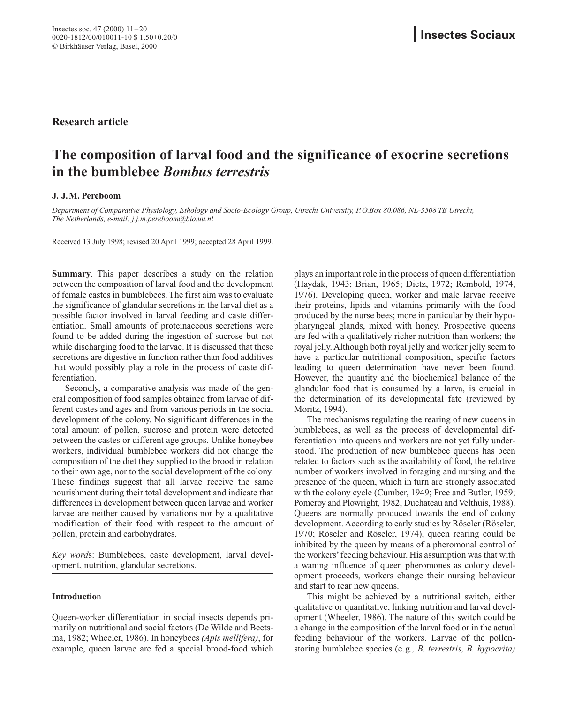# **The composition of larval food and the significance of exocrine secretions in the bumblebee** *Bombus terrestris*

# **J. J.M. Pereboom**

*Department of Comparative Physiology, Ethology and Socio-Ecology Group, Utrecht University, P.O.Box 80.086, NL-3508 TB Utrecht, The Netherlands, e-mail: j.j.m.pereboom@bio.uu.nl*

Received 13 July 1998; revised 20 April 1999; accepted 28 April 1999.

**Summary**. This paper describes a study on the relation between the composition of larval food and the development of female castes in bumblebees. The first aim was to evaluate the significance of glandular secretions in the larval diet as a possible factor involved in larval feeding and caste differentiation. Small amounts of proteinaceous secretions were found to be added during the ingestion of sucrose but not while discharging food to the larvae. It is discussed that these secretions are digestive in function rather than food additives that would possibly play a role in the process of caste differentiation.

Secondly, a comparative analysis was made of the general composition of food samples obtained from larvae of different castes and ages and from various periods in the social development of the colony. No significant differences in the total amount of pollen, sucrose and protein were detected between the castes or different age groups. Unlike honeybee workers, individual bumblebee workers did not change the composition of the diet they supplied to the brood in relation to their own age, nor to the social development of the colony. These findings suggest that all larvae receive the same nourishment during their total development and indicate that differences in development between queen larvae and worker larvae are neither caused by variations nor by a qualitative modification of their food with respect to the amount of pollen, protein and carbohydrates.

*Key word*s: Bumblebees, caste development, larval development, nutrition, glandular secretions.

# **Introductio**n

Queen-worker differentiation in social insects depends primarily on nutritional and social factors (De Wilde and Beetsma, 1982; Wheeler, 1986). In honeybees *(Apis mellifera)*, for example, queen larvae are fed a special brood-food which

plays an important role in the process of queen differentiation (Haydak, 1943; Brian, 1965; Dietz, 1972; Rembold, 1974, 1976). Developing queen, worker and male larvae receive their proteins, lipids and vitamins primarily with the food produced by the nurse bees; more in particular by their hypopharyngeal glands, mixed with honey. Prospective queens are fed with a qualitatively richer nutrition than workers; the royal jelly. Although both royal jelly and worker jelly seem to have a particular nutritional composition, specific factors leading to queen determination have never been found. However, the quantity and the biochemical balance of the glandular food that is consumed by a larva, is crucial in the determination of its developmental fate (reviewed by Moritz, 1994).

The mechanisms regulating the rearing of new queens in bumblebees, as well as the process of developmental differentiation into queens and workers are not yet fully understood. The production of new bumblebee queens has been related to factors such as the availability of food, the relative number of workers involved in foraging and nursing and the presence of the queen, which in turn are strongly associated with the colony cycle (Cumber, 1949; Free and Butler, 1959; Pomeroy and Plowright, 1982; Duchateau and Velthuis, 1988). Queens are normally produced towards the end of colony development. According to early studies by Röseler (Röseler, 1970; Röseler and Röseler, 1974), queen rearing could be inhibited by the queen by means of a pheromonal control of the workers'feeding behaviour. His assumption was that with a waning influence of queen pheromones as colony development proceeds, workers change their nursing behaviour and start to rear new queens.

This might be achieved by a nutritional switch, either qualitative or quantitative, linking nutrition and larval development (Wheeler, 1986). The nature of this switch could be a change in the composition of the larval food or in the actual feeding behaviour of the workers. Larvae of the pollenstoring bumblebee species (e.g*., B. terrestris, B. hypocrita)*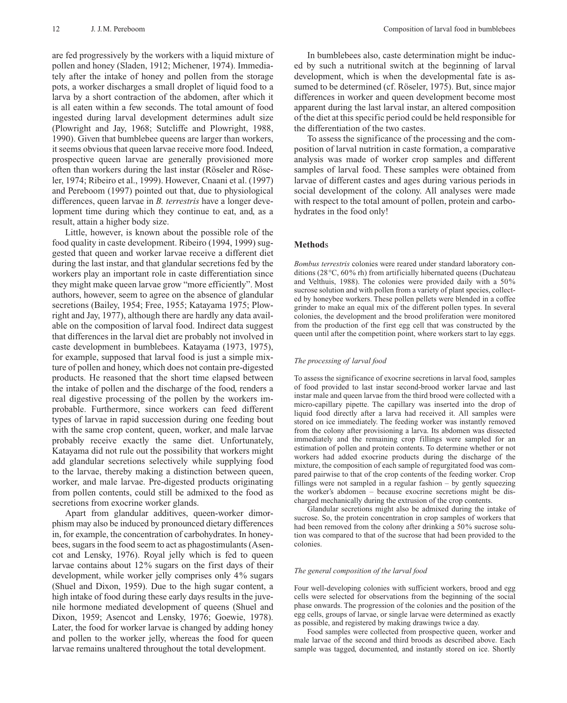are fed progressively by the workers with a liquid mixture of pollen and honey (Sladen, 1912; Michener, 1974). Immediately after the intake of honey and pollen from the storage pots, a worker discharges a small droplet of liquid food to a larva by a short contraction of the abdomen, after which it is all eaten within a few seconds. The total amount of food ingested during larval development determines adult size (Plowright and Jay, 1968; Sutcliffe and Plowright, 1988, 1990). Given that bumblebee queens are larger than workers, it seems obvious that queen larvae receive more food. Indeed, prospective queen larvae are generally provisioned more often than workers during the last instar (Röseler and Röseler, 1974; Ribeiro et al., 1999). However, Cnaani et al. (1997) and Pereboom (1997) pointed out that, due to physiological differences, queen larvae in *B. terrestris* have a longer development time during which they continue to eat, and, as a result, attain a higher body size.

Little, however, is known about the possible role of the food quality in caste development. Ribeiro (1994, 1999) suggested that queen and worker larvae receive a different diet during the last instar, and that glandular secretions fed by the workers play an important role in caste differentiation since they might make queen larvae grow "more efficiently". Most authors, however, seem to agree on the absence of glandular secretions (Bailey, 1954; Free, 1955; Katayama 1975; Plowright and Jay, 1977), although there are hardly any data available on the composition of larval food. Indirect data suggest that differences in the larval diet are probably not involved in caste development in bumblebees. Katayama (1973, 1975), for example, supposed that larval food is just a simple mixture of pollen and honey, which does not contain pre-digested products. He reasoned that the short time elapsed between the intake of pollen and the discharge of the food, renders a real digestive processing of the pollen by the workers improbable. Furthermore, since workers can feed different types of larvae in rapid succession during one feeding bout with the same crop content, queen, worker, and male larvae probably receive exactly the same diet. Unfortunately, Katayama did not rule out the possibility that workers might add glandular secretions selectively while supplying food to the larvae, thereby making a distinction between queen, worker, and male larvae. Pre-digested products originating from pollen contents, could still be admixed to the food as secretions from exocrine worker glands.

Apart from glandular additives, queen-worker dimorphism may also be induced by pronounced dietary differences in, for example, the concentration of carbohydrates. In honeybees, sugars in the food seem to act as phagostimulants (Asencot and Lensky, 1976). Royal jelly which is fed to queen larvae contains about 12% sugars on the first days of their development, while worker jelly comprises only 4% sugars (Shuel and Dixon, 1959). Due to the high sugar content, a high intake of food during these early days results in the juvenile hormone mediated development of queens (Shuel and Dixon, 1959; Asencot and Lensky, 1976; Goewie, 1978). Later, the food for worker larvae is changed by adding honey and pollen to the worker jelly, whereas the food for queen larvae remains unaltered throughout the total development.

In bumblebees also, caste determination might be induced by such a nutritional switch at the beginning of larval development, which is when the developmental fate is assumed to be determined (cf. Röseler, 1975). But, since major differences in worker and queen development become most apparent during the last larval instar, an altered composition of the diet at this specific period could be held responsible for the differentiation of the two castes.

To assess the significance of the processing and the composition of larval nutrition in caste formation, a comparative analysis was made of worker crop samples and different samples of larval food. These samples were obtained from larvae of different castes and ages during various periods in social development of the colony. All analyses were made with respect to the total amount of pollen, protein and carbohydrates in the food only!

# **Method**s

*Bombus terrestris* colonies were reared under standard laboratory conditions (28°C, 60% rh) from artificially hibernated queens (Duchateau and Velthuis, 1988). The colonies were provided daily with a 50% sucrose solution and with pollen from a variety of plant species, collected by honeybee workers. These pollen pellets were blended in a coffee grinder to make an equal mix of the different pollen types. In several colonies, the development and the brood proliferation were monitored from the production of the first egg cell that was constructed by the queen until after the competition point, where workers start to lay eggs.

#### *The processing of larval food*

To assess the significance of exocrine secretions in larval food, samples of food provided to last instar second-brood worker larvae and last instar male and queen larvae from the third brood were collected with a micro-capillary pipette. The capillary was inserted into the drop of liquid food directly after a larva had received it. All samples were stored on ice immediately. The feeding worker was instantly removed from the colony after provisioning a larva. Its abdomen was dissected immediately and the remaining crop fillings were sampled for an estimation of pollen and protein contents. To determine whether or not workers had added exocrine products during the discharge of the mixture, the composition of each sample of regurgitated food was compared pairwise to that of the crop contents of the feeding worker. Crop fillings were not sampled in a regular fashion  $-$  by gently squeezing the worker's abdomen – because exocrine secretions might be discharged mechanically during the extrusion of the crop contents.

Glandular secretions might also be admixed during the intake of sucrose. So, the protein concentration in crop samples of workers that had been removed from the colony after drinking a 50% sucrose solution was compared to that of the sucrose that had been provided to the colonies.

#### *The general composition of the larval food*

Four well-developing colonies with sufficient workers, brood and egg cells were selected for observations from the beginning of the social phase onwards. The progression of the colonies and the position of the egg cells, groups of larvae, or single larvae were determined as exactly as possible, and registered by making drawings twice a day.

Food samples were collected from prospective queen, worker and male larvae of the second and third broods as described above. Each sample was tagged, documented, and instantly stored on ice. Shortly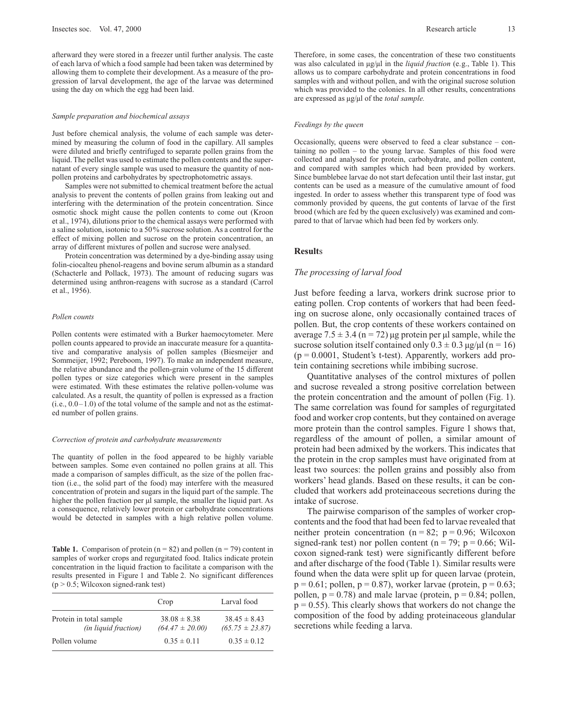afterward they were stored in a freezer until further analysis. The caste of each larva of which a food sample had been taken was determined by allowing them to complete their development. As a measure of the progression of larval development, the age of the larvae was determined using the day on which the egg had been laid.

#### *Sample preparation and biochemical assays*

Just before chemical analysis, the volume of each sample was determined by measuring the column of food in the capillary. All samples were diluted and briefly centrifuged to separate pollen grains from the liquid. The pellet was used to estimate the pollen contents and the supernatant of every single sample was used to measure the quantity of nonpollen proteins and carbohydrates by spectrophotometric assays.

Samples were not submitted to chemical treatment before the actual analysis to prevent the contents of pollen grains from leaking out and interfering with the determination of the protein concentration. Since osmotic shock might cause the pollen contents to come out (Kroon et al., 1974), dilutions prior to the chemical assays were performed with a saline solution, isotonic to a 50% sucrose solution. As a control for the effect of mixing pollen and sucrose on the protein concentration, an array of different mixtures of pollen and sucrose were analysed.

Protein concentration was determined by a dye-binding assay using folin-ciocalteu phenol-reagens and bovine serum albumin as a standard (Schacterle and Pollack, 1973). The amount of reducing sugars was determined using anthron-reagens with sucrose as a standard (Carrol et al., 1956).

#### *Pollen counts*

Pollen contents were estimated with a Burker haemocytometer. Mere pollen counts appeared to provide an inaccurate measure for a quantitative and comparative analysis of pollen samples (Biesmeijer and Sommeijer, 1992; Pereboom, 1997). To make an independent measure, the relative abundance and the pollen-grain volume of the 15 different pollen types or size categories which were present in the samples were estimated. With these estimates the relative pollen-volume was calculated. As a result, the quantity of pollen is expressed as a fraction  $(i.e., 0.0-1.0)$  of the total volume of the sample and not as the estimated number of pollen grains.

#### *Correction of protein and carbohydrate measurements*

The quantity of pollen in the food appeared to be highly variable between samples. Some even contained no pollen grains at all. This made a comparison of samples difficult, as the size of the pollen fraction (i.e., the solid part of the food) may interfere with the measured concentration of protein and sugars in the liquid part of the sample. The higher the pollen fraction per µl sample, the smaller the liquid part. As a consequence, relatively lower protein or carbohydrate concentrations would be detected in samples with a high relative pollen volume.

**Table 1.** Comparison of protein  $(n = 82)$  and pollen  $(n = 79)$  content in samples of worker crops and regurgitated food. Italics indicate protein concentration in the liquid fraction to facilitate a comparison with the results presented in Figure 1 and Table 2. No significant differences  $(p > 0.5;$  Wilcoxon signed-rank test)

|                                                        | Crop                                    | Larval food                             |
|--------------------------------------------------------|-----------------------------------------|-----------------------------------------|
| Protein in total sample<br><i>(in liquid fraction)</i> | $38.08 \pm 8.38$<br>$(64.47 \pm 20.00)$ | $38.45 \pm 8.43$<br>$(65.75 \pm 23.87)$ |
| Pollen volume                                          | $0.35 \pm 0.11$                         | $0.35 \pm 0.12$                         |

Therefore, in some cases, the concentration of these two constituents was also calculated in  $\mu$ g/ $\mu$ l in the *liquid fraction* (e.g., Table 1). This allows us to compare carbohydrate and protein concentrations in food samples with and without pollen, and with the original sucrose solution which was provided to the colonies. In all other results, concentrations are expressed as µg/µl of the *total sample.*

#### *Feedings by the queen*

Occasionally, queens were observed to feed a clear substance – containing no pollen – to the young larvae. Samples of this food were collected and analysed for protein, carbohydrate, and pollen content, and compared with samples which had been provided by workers. Since bumblebee larvae do not start defecation until their last instar, gut contents can be used as a measure of the cumulative amount of food ingested. In order to assess whether this transparent type of food was commonly provided by queens, the gut contents of larvae of the first brood (which are fed by the queen exclusively) was examined and compared to that of larvae which had been fed by workers only.

#### **Result**s

#### *The processing of larval food*

Just before feeding a larva, workers drink sucrose prior to eating pollen. Crop contents of workers that had been feeding on sucrose alone, only occasionally contained traces of pollen. But, the crop contents of these workers contained on average  $7.5 \pm 3.4$  (n = 72) µg protein per µl sample, while the sucrose solution itself contained only  $0.3 \pm 0.3$  µg/µl (n = 16)  $(p = 0.0001$ , Student's t-test). Apparently, workers add protein containing secretions while imbibing sucrose.

Quantitative analyses of the control mixtures of pollen and sucrose revealed a strong positive correlation between the protein concentration and the amount of pollen (Fig. 1). The same correlation was found for samples of regurgitated food and worker crop contents, but they contained on average more protein than the control samples. Figure 1 shows that, regardless of the amount of pollen, a similar amount of protein had been admixed by the workers. This indicates that the protein in the crop samples must have originated from at least two sources: the pollen grains and possibly also from workers' head glands. Based on these results, it can be concluded that workers add proteinaceous secretions during the intake of sucrose.

The pairwise comparison of the samples of worker cropcontents and the food that had been fed to larvae revealed that neither protein concentration ( $n = 82$ ;  $p = 0.96$ ; Wilcoxon signed-rank test) nor pollen content ( $n = 79$ ;  $p = 0.66$ ; Wilcoxon signed-rank test) were significantly different before and after discharge of the food (Table 1). Similar results were found when the data were split up for queen larvae (protein,  $p = 0.61$ ; pollen,  $p = 0.87$ ), worker larvae (protein,  $p = 0.63$ ; pollen,  $p = 0.78$ ) and male larvae (protein,  $p = 0.84$ ; pollen,  $p = 0.55$ ). This clearly shows that workers do not change the composition of the food by adding proteinaceous glandular secretions while feeding a larva.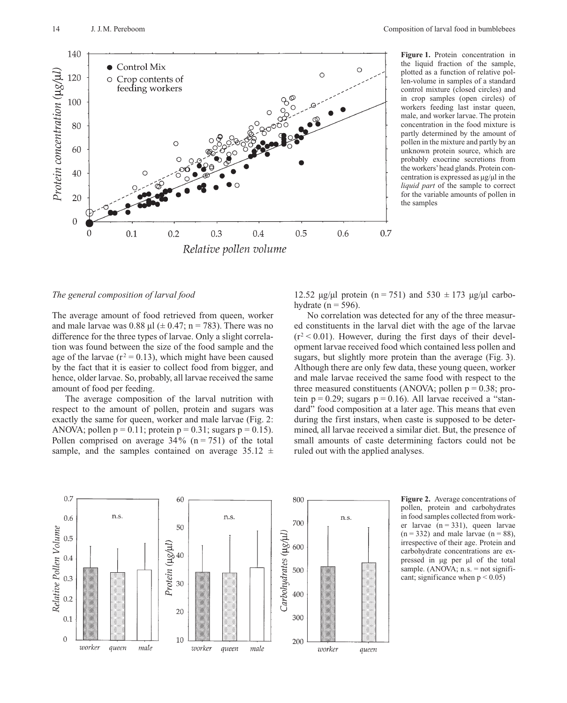

**Figure 1.** Protein concentration in the liquid fraction of the sample, plotted as a function of relative pollen-volume in samples of a standard control mixture (closed circles) and in crop samples (open circles) of workers feeding last instar queen, male, and worker larvae. The protein concentration in the food mixture is partly determined by the amount of pollen in the mixture and partly by an unknown protein source, which are probably exocrine secretions from the workers'head glands. Protein concentration is expressed as µg/µl in the *liquid part* of the sample to correct for the variable amounts of pollen in the samples

#### *The general composition of larval food*

The average amount of food retrieved from queen, worker and male larvae was 0.88  $\mu$ l ( $\pm$  0.47; n = 783). There was no difference for the three types of larvae. Only a slight correlation was found between the size of the food sample and the age of the larvae ( $r^2$  = 0.13), which might have been caused by the fact that it is easier to collect food from bigger, and hence, older larvae. So, probably, all larvae received the same amount of food per feeding.

The average composition of the larval nutrition with respect to the amount of pollen, protein and sugars was exactly the same for queen, worker and male larvae (Fig. 2: ANOVA; pollen  $p = 0.11$ ; protein  $p = 0.31$ ; sugars  $p = 0.15$ ). Pollen comprised on average  $34\%$  (n = 751) of the total sample, and the samples contained on average  $35.12 \pm 1$ 

12.52  $\mu$ g/ $\mu$ l protein (n = 751) and 530  $\pm$  173  $\mu$ g/ $\mu$ l carbohydrate ( $n = 596$ ).

No correlation was detected for any of the three measured constituents in the larval diet with the age of the larvae  $(r^2 < 0.01)$ . However, during the first days of their development larvae received food which contained less pollen and sugars, but slightly more protein than the average (Fig. 3). Although there are only few data, these young queen, worker and male larvae received the same food with respect to the three measured constituents (ANOVA; pollen  $p = 0.38$ ; protein  $p = 0.29$ ; sugars  $p = 0.16$ ). All larvae received a "standard" food composition at a later age. This means that even during the first instars, when caste is supposed to be determined, all larvae received a similar diet. But, the presence of small amounts of caste determining factors could not be ruled out with the applied analyses.



**Figure 2.** Average concentrations of pollen, protein and carbohydrates in food samples collected from worker larvae  $(n = 331)$ , queen larvae  $(n = 332)$  and male larvae  $(n = 88)$ , irrespective of their age. Protein and carbohydrate concentrations are expressed in µg per µl of the total sample. (ANOVA;  $n.s.$  = not significant; significance when  $p < 0.05$ )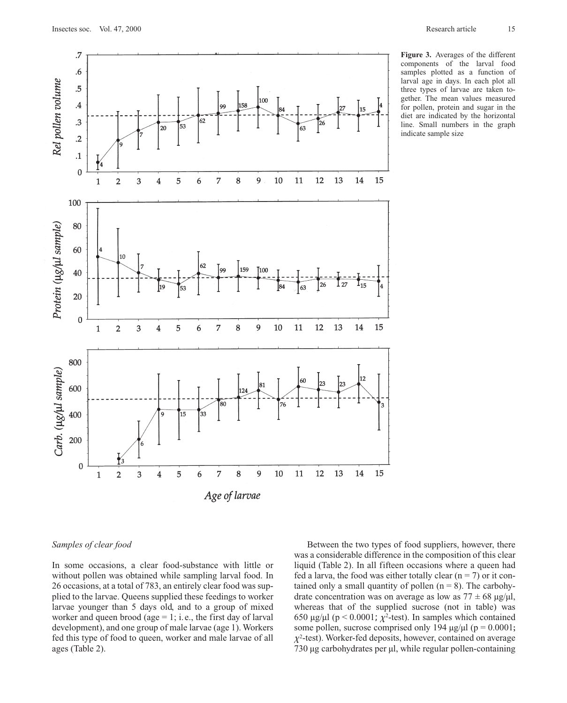

**Figure 3.** Averages of the different components of the larval food samples plotted as a function of larval age in days. In each plot all three types of larvae are taken together. The mean values measured for pollen, protein and sugar in the diet are indicated by the horizontal line. Small numbers in the graph indicate sample size

## *Samples of clear food*

In some occasions, a clear food-substance with little or without pollen was obtained while sampling larval food. In 26 occasions, at a total of 783, an entirely clear food was supplied to the larvae. Queens supplied these feedings to worker larvae younger than 5 days old, and to a group of mixed worker and queen brood (age  $= 1$ ; i.e., the first day of larval development), and one group of male larvae (age 1). Workers fed this type of food to queen, worker and male larvae of all ages (Table 2).

Between the two types of food suppliers, however, there was a considerable difference in the composition of this clear liquid (Table 2). In all fifteen occasions where a queen had fed a larva, the food was either totally clear  $(n = 7)$  or it contained only a small quantity of pollen  $(n = 8)$ . The carbohydrate concentration was on average as low as  $77 \pm 68 \text{ µg/µl}$ , whereas that of the supplied sucrose (not in table) was 650 µg/µl (p < 0.0001;  $\chi^2$ -test). In samples which contained some pollen, sucrose comprised only 194  $\mu$ g/ $\mu$ l (p = 0.0001;  $\chi^2$ -test). Worker-fed deposits, however, contained on average 730 µg carbohydrates per µl, while regular pollen-containing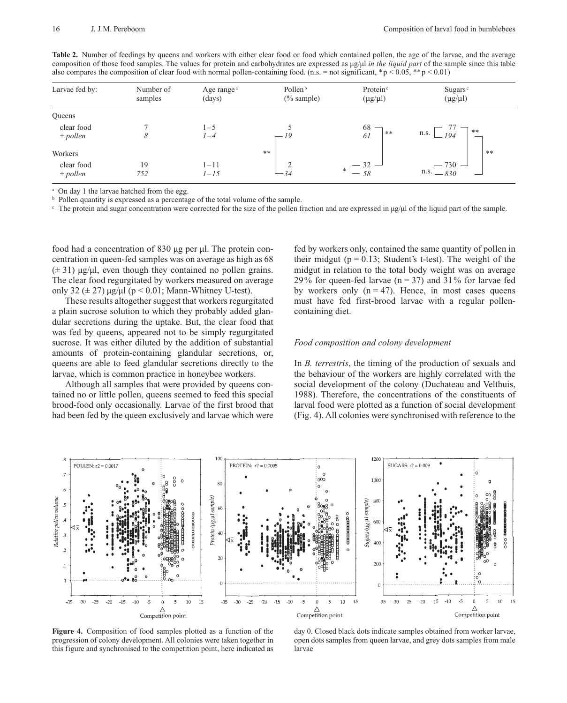| <b>Table 2.</b> Number of feedings by queens and workers with either clear food or food which contained pollen, the age of the larvae, and the average     |
|------------------------------------------------------------------------------------------------------------------------------------------------------------|
| composition of those food samples. The values for protein and carbohydrates are expressed as $\mu g/\mu$ in the liquid part of the sample since this table |
| also compares the composition of clear food with normal pollen-containing food. (n.s. = not significant, *p < 0.05, **p < 0.01)                            |

| Larvae fed by:           | Number of<br>samples | Age range <sup>a</sup><br>(days) | Pollen <sup>b</sup><br>$(\%$ sample) | Protein <sup>c</sup><br>$(\mu g/\mu l)$ | Sugars $\circ$<br>$(\mu g/\mu l)$ |
|--------------------------|----------------------|----------------------------------|--------------------------------------|-----------------------------------------|-----------------------------------|
| Queens                   |                      |                                  |                                      |                                         |                                   |
| clear food<br>$+$ pollen | 8                    | $1 - 5$<br>$1 - 4$               | — 19                                 | 68<br>**<br>61                          | **<br>n.s.<br>194                 |
| Workers                  |                      |                                  | $**$                                 |                                         | **                                |
| clear food<br>$+$ pollen | 19<br>752            | $1 - 11$<br>$1 - 15$             | 34                                   | *<br>58                                 | $-730 -$<br>n.s.<br>830           |

On day 1 the larvae hatched from the egg.

**b** Pollen quantity is expressed as a percentage of the total volume of the sample.

 $\epsilon$  The protein and sugar concentration were corrected for the size of the pollen fraction and are expressed in  $\mu g/\mu$  of the liquid part of the sample.

food had a concentration of 830 µg per µl. The protein concentration in queen-fed samples was on average as high as 68  $(\pm 31)$  µg/µl, even though they contained no pollen grains. The clear food regurgitated by workers measured on average only 32 ( $\pm$  27)  $\mu$ g/ $\mu$ l (p < 0.01; Mann-Whitney U-test).

These results altogether suggest that workers regurgitated a plain sucrose solution to which they probably added glandular secretions during the uptake. But, the clear food that was fed by queens, appeared not to be simply regurgitated sucrose. It was either diluted by the addition of substantial amounts of protein-containing glandular secretions, or, queens are able to feed glandular secretions directly to the larvae, which is common practice in honeybee workers.

Although all samples that were provided by queens contained no or little pollen, queens seemed to feed this special brood-food only occasionally. Larvae of the first brood that had been fed by the queen exclusively and larvae which were

fed by workers only, contained the same quantity of pollen in their midgut ( $p = 0.13$ ; Student's t-test). The weight of the midgut in relation to the total body weight was on average 29% for queen-fed larvae ( $n = 37$ ) and 31% for larvae fed by workers only  $(n = 47)$ . Hence, in most cases queens must have fed first-brood larvae with a regular pollencontaining diet.

### *Food composition and colony development*

In *B. terrestris*, the timing of the production of sexuals and the behaviour of the workers are highly correlated with the social development of the colony (Duchateau and Velthuis, 1988). Therefore, the concentrations of the constituents of larval food were plotted as a function of social development (Fig. 4). All colonies were synchronised with reference to the



**Figure 4.** Composition of food samples plotted as a function of the progression of colony development. All colonies were taken together in this figure and synchronised to the competition point, here indicated as

day 0. Closed black dots indicate samples obtained from worker larvae, open dots samples from queen larvae, and grey dots samples from male larvae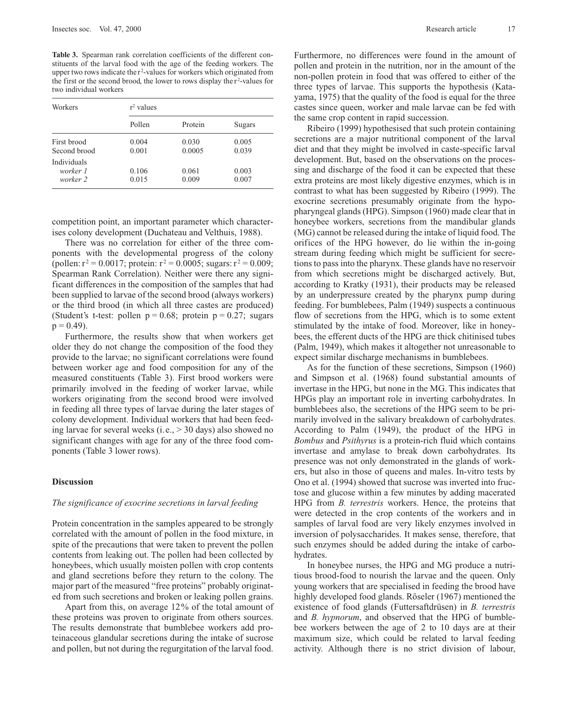**Table 3.** Spearman rank correlation coefficients of the different constituents of the larval food with the age of the feeding workers. The upper two rows indicate the r<sup>2</sup>-values for workers which originated from the first or the second brood, the lower to rows display the  $r^2$ -values for two individual workers

| Workers                             | $r^2$ values   |                 |                |  |  |
|-------------------------------------|----------------|-----------------|----------------|--|--|
|                                     | Pollen         | Protein         | Sugars         |  |  |
| First brood<br>Second brood         | 0.004<br>0.001 | 0.030<br>0.0005 | 0.005<br>0.039 |  |  |
| Individuals<br>worker 1<br>worker 2 | 0.106<br>0.015 | 0.061<br>0.009  | 0.003<br>0.007 |  |  |

competition point, an important parameter which characterises colony development (Duchateau and Velthuis, 1988).

There was no correlation for either of the three components with the developmental progress of the colony (pollen:  $r^2 = 0.0017$ ; protein:  $r^2 = 0.0005$ ; sugars:  $r^2 = 0.009$ ; Spearman Rank Correlation). Neither were there any significant differences in the composition of the samples that had been supplied to larvae of the second brood (always workers) or the third brood (in which all three castes are produced) (Student's t-test: pollen  $p = 0.68$ ; protein  $p = 0.27$ ; sugars  $p = 0.49$ ).

Furthermore, the results show that when workers get older they do not change the composition of the food they provide to the larvae; no significant correlations were found between worker age and food composition for any of the measured constituents (Table 3). First brood workers were primarily involved in the feeding of worker larvae, while workers originating from the second brood were involved in feeding all three types of larvae during the later stages of colony development. Individual workers that had been feeding larvae for several weeks (i.e.,  $>$  30 days) also showed no significant changes with age for any of the three food components (Table 3 lower rows).

## **Discussion**

#### *The significance of exocrine secretions in larval feeding*

Protein concentration in the samples appeared to be strongly correlated with the amount of pollen in the food mixture, in spite of the precautions that were taken to prevent the pollen contents from leaking out. The pollen had been collected by honeybees, which usually moisten pollen with crop contents and gland secretions before they return to the colony. The major part of the measured "free proteins" probably originated from such secretions and broken or leaking pollen grains.

Apart from this, on average 12% of the total amount of these proteins was proven to originate from others sources. The results demonstrate that bumblebee workers add proteinaceous glandular secretions during the intake of sucrose and pollen, but not during the regurgitation of the larval food.

Furthermore, no differences were found in the amount of pollen and protein in the nutrition, nor in the amount of the non-pollen protein in food that was offered to either of the three types of larvae. This supports the hypothesis (Katayama, 1975) that the quality of the food is equal for the three castes since queen, worker and male larvae can be fed with the same crop content in rapid succession.

Ribeiro (1999) hypothesised that such protein containing secretions are a major nutritional component of the larval diet and that they might be involved in caste-specific larval development. But, based on the observations on the processing and discharge of the food it can be expected that these extra proteins are most likely digestive enzymes, which is in contrast to what has been suggested by Ribeiro (1999). The exocrine secretions presumably originate from the hypopharyngeal glands (HPG). Simpson (1960) made clear that in honeybee workers, secretions from the mandibular glands (MG) cannot be released during the intake of liquid food. The orifices of the HPG however, do lie within the in-going stream during feeding which might be sufficient for secretions to pass into the pharynx. These glands have no reservoir from which secretions might be discharged actively. But, according to Kratky (1931), their products may be released by an underpressure created by the pharynx pump during feeding. For bumblebees, Palm (1949) suspects a continuous flow of secretions from the HPG, which is to some extent stimulated by the intake of food. Moreover, like in honeybees, the efferent ducts of the HPG are thick chitinised tubes (Palm, 1949), which makes it altogether not unreasonable to expect similar discharge mechanisms in bumblebees.

As for the function of these secretions, Simpson (1960) and Simpson et al. (1968) found substantial amounts of invertase in the HPG, but none in the MG. This indicates that HPGs play an important role in inverting carbohydrates. In bumblebees also, the secretions of the HPG seem to be primarily involved in the salivary breakdown of carbohydrates. According to Palm (1949), the product of the HPG in *Bombus* and *Psithyrus* is a protein-rich fluid which contains invertase and amylase to break down carbohydrates. Its presence was not only demonstrated in the glands of workers, but also in those of queens and males. In-vitro tests by Ono et al. (1994) showed that sucrose was inverted into fructose and glucose within a few minutes by adding macerated HPG from *B. terrestris* workers. Hence, the proteins that were detected in the crop contents of the workers and in samples of larval food are very likely enzymes involved in inversion of polysaccharides. It makes sense, therefore, that such enzymes should be added during the intake of carbohydrates.

In honeybee nurses, the HPG and MG produce a nutritious brood-food to nourish the larvae and the queen. Only young workers that are specialised in feeding the brood have highly developed food glands. Röseler (1967) mentioned the existence of food glands (Futtersaftdrüsen) in *B. terrestris* and *B. hypnorum*, and observed that the HPG of bumblebee workers between the age of 2 to 10 days are at their maximum size, which could be related to larval feeding activity. Although there is no strict division of labour,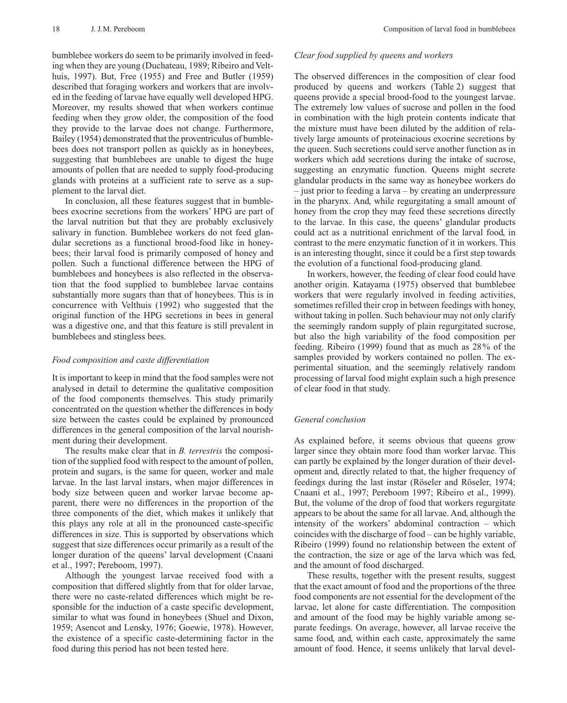bumblebee workers do seem to be primarily involved in feeding when they are young (Duchateau, 1989; Ribeiro and Velthuis, 1997). But, Free (1955) and Free and Butler (1959) described that foraging workers and workers that are involved in the feeding of larvae have equally well developed HPG. Moreover, my results showed that when workers continue feeding when they grow older, the composition of the food they provide to the larvae does not change. Furthermore, Bailey (1954) demonstrated that the proventriculus of bumblebees does not transport pollen as quickly as in honeybees, suggesting that bumblebees are unable to digest the huge amounts of pollen that are needed to supply food-producing glands with proteins at a sufficient rate to serve as a supplement to the larval diet.

In conclusion, all these features suggest that in bumblebees exocrine secretions from the workers' HPG are part of the larval nutrition but that they are probably exclusively salivary in function. Bumblebee workers do not feed glandular secretions as a functional brood-food like in honeybees; their larval food is primarily composed of honey and pollen. Such a functional difference between the HPG of bumblebees and honeybees is also reflected in the observation that the food supplied to bumblebee larvae contains substantially more sugars than that of honeybees. This is in concurrence with Velthuis (1992) who suggested that the original function of the HPG secretions in bees in general was a digestive one, and that this feature is still prevalent in bumblebees and stingless bees.

#### *Food composition and caste differentiation*

It is important to keep in mind that the food samples were not analysed in detail to determine the qualitative composition of the food components themselves. This study primarily concentrated on the question whether the differences in body size between the castes could be explained by pronounced differences in the general composition of the larval nourishment during their development.

The results make clear that in *B. terrestris* the composition of the supplied food with respect to the amount of pollen, protein and sugars, is the same for queen, worker and male larvae. In the last larval instars, when major differences in body size between queen and worker larvae become apparent, there were no differences in the proportion of the three components of the diet, which makes it unlikely that this plays any role at all in the pronounced caste-specific differences in size. This is supported by observations which suggest that size differences occur primarily as a result of the longer duration of the queens' larval development (Cnaani et al., 1997; Pereboom, 1997).

Although the youngest larvae received food with a composition that differed slightly from that for older larvae, there were no caste-related differences which might be responsible for the induction of a caste specific development, similar to what was found in honeybees (Shuel and Dixon, 1959; Asencot and Lensky, 1976; Goewie, 1978). However, the existence of a specific caste-determining factor in the food during this period has not been tested here.

## *Clear food supplied by queens and workers*

The observed differences in the composition of clear food produced by queens and workers (Table 2) suggest that queens provide a special brood-food to the youngest larvae. The extremely low values of sucrose and pollen in the food in combination with the high protein contents indicate that the mixture must have been diluted by the addition of relatively large amounts of proteinacious exocrine secretions by the queen. Such secretions could serve another function as in workers which add secretions during the intake of sucrose, suggesting an enzymatic function. Queens might secrete glandular products in the same way as honeybee workers do – just prior to feeding a larva – by creating an underpressure in the pharynx. And, while regurgitating a small amount of honey from the crop they may feed these secretions directly to the larvae. In this case, the queens' glandular products could act as a nutritional enrichment of the larval food, in contrast to the mere enzymatic function of it in workers. This is an interesting thought, since it could be a first step towards the evolution of a functional food-producing gland.

In workers, however, the feeding of clear food could have another origin. Katayama (1975) observed that bumblebee workers that were regularly involved in feeding activities, sometimes refilled their crop in between feedings with honey, without taking in pollen. Such behaviour may not only clarify the seemingly random supply of plain regurgitated sucrose, but also the high variability of the food composition per feeding. Ribeiro (1999) found that as much as 28% of the samples provided by workers contained no pollen. The experimental situation, and the seemingly relatively random processing of larval food might explain such a high presence of clear food in that study.

### *General conclusion*

As explained before, it seems obvious that queens grow larger since they obtain more food than worker larvae. This can partly be explained by the longer duration of their development and, directly related to that, the higher frequency of feedings during the last instar (Röseler and Röseler, 1974; Cnaani et al., 1997; Pereboom 1997; Ribeiro et al., 1999). But, the volume of the drop of food that workers regurgitate appears to be about the same for all larvae. And, although the intensity of the workers' abdominal contraction – which coincides with the discharge of food – can be highly variable, Ribeiro (1999) found no relationship between the extent of the contraction, the size or age of the larva which was fed, and the amount of food discharged.

These results, together with the present results, suggest that the exact amount of food and the proportions of the three food components are not essential for the development of the larvae, let alone for caste differentiation. The composition and amount of the food may be highly variable among separate feedings. On average, however, all larvae receive the same food, and, within each caste, approximately the same amount of food. Hence, it seems unlikely that larval devel-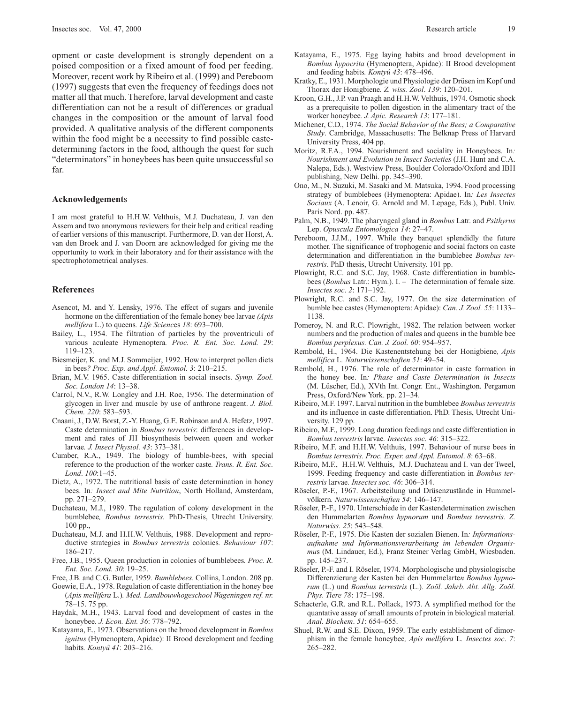opment or caste development is strongly dependent on a poised composition or a fixed amount of food per feeding. Moreover, recent work by Ribeiro et al. (1999) and Pereboom (1997) suggests that even the frequency of feedings does not matter all that much. Therefore, larval development and caste differentiation can not be a result of differences or gradual changes in the composition or the amount of larval food provided. A qualitative analysis of the different components within the food might be a necessity to find possible castedetermining factors in the food, although the quest for such "determinators" in honeybees has been quite unsuccessful so far.

#### **Acknowledgement**s

I am most grateful to H.H.W. Velthuis, M.J. Duchateau, J. van den Assem and two anonymous reviewers for their help and critical reading of earlier versions of this manuscript. Furthermore, D. van der Horst, A. van den Broek and J. van Doorn are acknowledged for giving me the opportunity to work in their laboratory and for their assistance with the spectrophotometrical analyses.

#### **Reference**s

- Asencot, M. and Y. Lensky, 1976. The effect of sugars and juvenile hormone on the differentiation of the female honey bee larvae *(Apis mellifera* L.) to queens*. Life Scienc*es *18*: 693–700.
- Bailey, L., 1954. The filtration of particles by the proventriculi of various aculeate Hymenoptera*. Proc. R. Ent. Soc. Lond. 29*: 119–123.
- Biesmeijer, K. and M.J. Sommeijer, 1992. How to interpret pollen diets in bees*? Proc. Exp. and Appl. Entomol. 3*: 210–215.
- Brian, M.V. 1965. Caste differentiation in social insects*. Symp. Zool. Soc. London 14*: 13–38.
- Carrol, N.V., R.W. Longley and J.H. Roe, 1956. The determination of glycogen in liver and muscle by use of anthrone reagent. *J. Biol. Chem. 220*: 583–593.
- Cnaani, J., D.W. Borst, Z.-Y. Huang, G.E. Robinson and A. Hefetz, 1997. Caste determination in *Bombus terrestris*: differences in development and rates of JH biosynthesis between queen and worker larvae*. J. Insect Physiol. 43*: 373–381.
- Cumber, R.A., 1949. The biology of humble-bees, with special reference to the production of the worker caste*. Trans. R. Ent. Soc. Lond*. *100*:1–45.
- Dietz, A., 1972. The nutritional basis of caste determination in honey bees. In*: Insect and Mite Nutrition*, North Holland, Amsterdam, pp. 271–279.
- Duchateau, M.J., 1989. The regulation of colony development in the bumblebee*, Bombus terrestris.* PhD-Thesis, Utrecht University. 100 pp.,
- Duchateau, M.J. and H.H.W. Velthuis, 1988. Development and reproductive strategies in *Bombus terrestris* colonies*. Behaviour 107*: 186–217.
- Free, J.B., 1955. Queen production in colonies of bumblebees*. Proc. R. Ent. Soc. Lond. 30*: 19–25.
- Free, J.B. and C.G. Butler, 1959*. Bumblebees*. Collins, London. 208 pp.
- Goewie, E.A., 1978. Regulation of caste differentiation in the honey bee (*Apis mellifera* L.)*. Med. Landbouwhogeschool Wageningen ref. nr.* 78–15. 75 pp.
- Haydak, M.H., 1943. Larval food and development of castes in the honeybee*. J. Econ. Ent. 36*: 778–792.
- Katayama, E., 1973. Observations on the brood development in *Bombus ignitus* (Hymenoptera, Apidae): II Brood development and feeding habits*. Kontyû 41*: 203–216.
- Katayama, E., 1975. Egg laying habits and brood development in *Bombus hypocrita* (Hymenoptera, Apidae): II Brood development and feeding habits*. Kontyû 43*: 478–496.
- Kratky, E., 1931. Morphologie und Physiologie der Drüsen im Kopf und Thorax der Honigbiene*. Z. wiss. Zool*. *139*: 120–201.
- Kroon, G.H., J.P. van Praagh and H.H.W. Velthuis, 1974. Osmotic shock as a prerequisite to pollen digestion in the alimentary tract of the worker honeybee*. J. Apic. Research 13*: 177–181.
- Michener, C.D., 1974. *The Social Behavior of the Bees; a Comparative Study*. Cambridge, Massachusetts: The Belknap Press of Harvard University Press, 404 pp.
- Moritz, R.F.A., 1994. Nourishment and sociality in Honeybees. In*: Nourishment and Evolution in Insect Societies* (J.H. Hunt and C.A. Nalepa, Eds.). Westview Press, Boulder Colorado/Oxford and IBH publishing, New Delhi. pp. 345–390.
- Ono, M., N. Suzuki, M. Sasaki and M. Matsuka, 1994. Food processing strategy of bumblebees (Hymenoptera: Apidae). In*: Les Insectes Sociaux* (A. Lenoir, G. Arnold and M. Lepage, Eds.), Publ. Univ. Paris Nord. pp. 487.
- Palm, N.B., 1949. The pharyngeal gland in *Bombus* Latr. and *Psithyrus* Lep. *Opuscula Entomologica 14*: 27–47.
- Pereboom, J.J.M., 1997. While they banquet splendidly the future mother. The significance of trophogenic and social factors on caste determination and differentiation in the bumblebee *Bombus terrestris*. PhD thesis, Utrecht University. 101 pp.
- Plowright, R.C. and S.C. Jay, 1968. Caste differentiation in bumblebees (*Bombus* Latr.: Hym.). I. – The determination of female size*. Insectes soc*. *2*: 171–192.
- Plowright, R.C. and S.C. Jay, 1977. On the size determination of bumble bee castes (Hymenoptera: Apidae): *Can. J. Zool. 55*: 1133– 1138.
- Pomeroy, N. and R.C. Plowright, 1982. The relation between worker numbers and the production of males and queens in the bumble bee *Bombus perplexus. Can. J. Zool. 60*: 954–957.
- Rembold, H., 1964. Die Kastenentstehung bei der Honigbiene*, Apis mellifica* L*. Naturwissenschaften 51*: 49–54.
- Rembold, H., 1976. The role of determinator in caste formation in the honey bee. In*: Phase and Caste Determination in Insects* (M. Lüscher, Ed.), XVth Int. Congr. Ent., Washington. Pergamon Press, Oxford/New York. pp. 21–34.
- Ribeiro, M.F. 1997. Larval nutrition in the bumblebee *Bombus terrestris* and its influence in caste differentiation. PhD. Thesis, Utrecht University. 129 pp.
- Ribeiro, M.F., 1999. Long duration feedings and caste differentiation in *Bombus terrestris* larvae*. Insectes soc. 46*: 315–322.
- Ribeiro, M.F. and H.H.W. Velthuis, 1997. Behaviour of nurse bees in *Bombus terrestris. Proc. Exper. and Appl. Entomol*. *8*: 63–68.
- Ribeiro, M.F., H.H.W. Velthuis, M.J. Duchateau and I. van der Tweel, 1999. Feeding frequency and caste differentiation in *Bombus terrestris* larvae*. Insectes soc. 46*: 306–314.
- Röseler, P.-F., 1967. Arbeitsteilung und Drüsenzustände in Hummelvölkern*. Naturwissenschaften 54*: 146–147.
- Röseler, P.-F., 1970. Unterschiede in der Kastendetermination zwischen den Hummelarten *Bombus hypnorum* und *Bombus terrestris*. *Z. Naturwiss. 25*: 543–548.
- Röseler, P.-F., 1975. Die Kasten der sozialen Bienen. In*: Informationsaufnahme und Informationsverarbeitung im lebenden Organismu*s (M. Lindauer, Ed.), Franz Steiner Verlag GmbH, Wiesbaden. pp. 145–237.
- Röseler, P.-F. and I. Röseler, 1974. Morphologische und physiologische Differenzierung der Kasten bei den Hummelarte*n Bombus hypnorum* (L.) und *Bombus terrestris* (L.)*. Zoöl. Jahrb. Abt. Allg. Zoöl. Phys. Tiere 78*: 175–198.
- Schacterle, G.R. and R.L. Pollack, 1973. A symplified method for the quantative assay of small amounts of protein in biological material*. Anal. Biochem*. *51*: 654–655.
- Shuel, R.W. and S.E. Dixon, 1959. The early establishment of dimorphism in the female honeybee*, Apis mellifera* L*. Insectes soc*. *7*: 265–282.